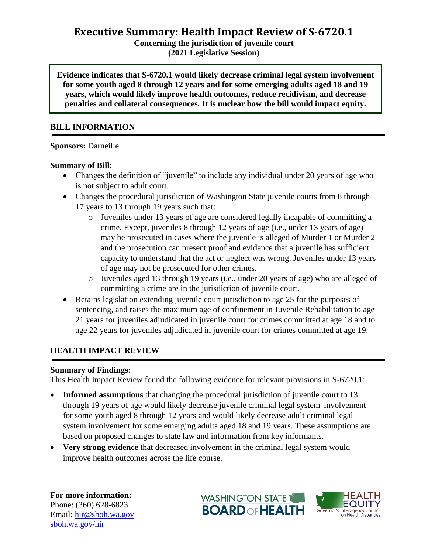**Concerning the jurisdiction of juvenile court (2021 Legislative Session)**

**Evidence indicates that S-6720.1 would likely decrease criminal legal system involvement for some youth aged 8 through 12 years and for some emerging adults aged 18 and 19 years, which would likely improve health outcomes, reduce recidivism, and decrease penalties and collateral consequences. It is unclear how the bill would impact equity.**

### **BILL INFORMATION**

#### **Sponsors:** Darneille

### **Summary of Bill:**

- Changes the definition of "juvenile" to include any individual under 20 years of age who is not subject to adult court.
- Changes the procedural jurisdiction of Washington State juvenile courts from 8 through 17 years to 13 through 19 years such that:
	- o Juveniles under 13 years of age are considered legally incapable of committing a crime. Except, juveniles 8 through 12 years of age (i.e., under 13 years of age) may be prosecuted in cases where the juvenile is alleged of Murder 1 or Murder 2 and the prosecution can present proof and evidence that a juvenile has sufficient capacity to understand that the act or neglect was wrong. Juveniles under 13 years of age may not be prosecuted for other crimes.
	- o Juveniles aged 13 through 19 years (i.e., under 20 years of age) who are alleged of committing a crime are in the jurisdiction of juvenile court.
- Retains legislation extending juvenile court jurisdiction to age 25 for the purposes of sentencing, and raises the maximum age of confinement in Juvenile Rehabilitation to age 21 years for juveniles adjudicated in juvenile court for crimes committed at age 18 and to age 22 years for juveniles adjudicated in juvenile court for crimes committed at age 19.

## **HEALTH IMPACT REVIEW**

### **Summary of Findings:**

This Health Impact Review found the following evidence for relevant provisions in S-6720.1:

- Informed assumptions that changing the procedural jurisdiction of juvenile court to 13 through 19 years of age would likely decrease juvenile criminal legal system<sup>i</sup> involvement for some youth aged 8 through 12 years and would likely decrease adult criminal legal system involvement for some emerging adults aged 18 and 19 years. These assumptions are based on proposed changes to state law and information from key informants.
- **Very strong evidence** that decreased involvement in the criminal legal system would improve health outcomes across the life course.

**For more information:** Phone: (360) 628-6823 Email: [hir@sboh.wa.gov](mailto:hir@sboh.wa.gov) [sboh.wa.gov/](http://sboh.wa.gov/)hir